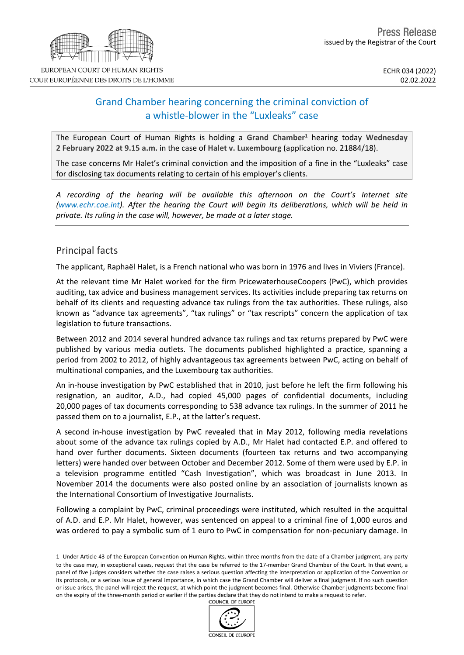# Grand Chamber hearing concerning the criminal conviction of a whistle-blower in the "Luxleaks" case

The European Court of Human Rights is holding a **Grand Chamber<sup>1</sup>** hearing today **Wednesday 2 February 2022 at 9.15 a.m.** in the case of **Halet v. Luxembourg** (application no. 21884/18).

The case concerns Mr Halet's criminal conviction and the imposition of a fine in the "Luxleaks" case for disclosing tax documents relating to certain of his employer's clients.

*A recording of the hearing will be available this afternoon on the Court's Internet site [\(www.echr.coe.int\)](www.echr.coe.int). After the hearing the Court will begin its deliberations, which will be held in private. Its ruling in the case will, however, be made at a later stage.*

## Principal facts

The applicant, Raphaël Halet, is a French national who was born in 1976 and lives in Viviers (France).

At the relevant time Mr Halet worked for the firm PricewaterhouseCoopers (PwC), which provides auditing, tax advice and business management services. Its activities include preparing tax returns on behalf of its clients and requesting advance tax rulings from the tax authorities. These rulings, also known as "advance tax agreements", "tax rulings" or "tax rescripts" concern the application of tax legislation to future transactions.

Between 2012 and 2014 several hundred advance tax rulings and tax returns prepared by PwC were published by various media outlets. The documents published highlighted a practice, spanning a period from 2002 to 2012, of highly advantageous tax agreements between PwC, acting on behalf of multinational companies, and the Luxembourg tax authorities.

An in-house investigation by PwC established that in 2010, just before he left the firm following his resignation, an auditor, A.D., had copied 45,000 pages of confidential documents, including 20,000 pages of tax documents corresponding to 538 advance tax rulings. In the summer of 2011 he passed them on to a journalist, E.P., at the latter's request.

A second in-house investigation by PwC revealed that in May 2012, following media revelations about some of the advance tax rulings copied by A.D., Mr Halet had contacted E.P. and offered to hand over further documents. Sixteen documents (fourteen tax returns and two accompanying letters) were handed over between October and December 2012. Some of them were used by E.P. in a television programme entitled "Cash Investigation", which was broadcast in June 2013. In November 2014 the documents were also posted online by an association of journalists known as the International Consortium of Investigative Journalists.

Following a complaint by PwC, criminal proceedings were instituted, which resulted in the acquittal of A.D. and E.P. Mr Halet, however, was sentenced on appeal to a criminal fine of 1,000 euros and was ordered to pay a symbolic sum of 1 euro to PwC in compensation for non-pecuniary damage. In

<sup>1</sup> Under Article 43 of the European Convention on Human Rights, within three months from the date of a Chamber judgment, any party to the case may, in exceptional cases, request that the case be referred to the 17-member Grand Chamber of the Court. In that event, a panel of five judges considers whether the case raises a serious question affecting the interpretation or application of the Convention or its protocols, or a serious issue of general importance, in which case the Grand Chamber will deliver a final judgment. If no such question or issue arises, the panel will reject the request, at which point the judgment becomes final. Otherwise Chamber judgments become final on the expiry of the three-month period or earlier if the parties declare that they do not intend to make a request to refer.



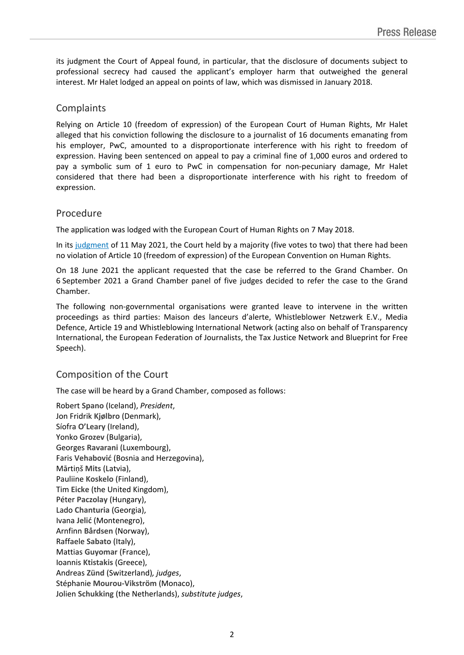its judgment the Court of Appeal found, in particular, that the disclosure of documents subject to professional secrecy had caused the applicant's employer harm that outweighed the general interest. Mr Halet lodged an appeal on points of law, which was dismissed in January 2018.

### Complaints

Relying on Article 10 (freedom of expression) of the European Court of Human Rights, Mr Halet alleged that his conviction following the disclosure to a journalist of 16 documents emanating from his employer, PwC, amounted to a disproportionate interference with his right to freedom of expression. Having been sentenced on appeal to pay a criminal fine of 1,000 euros and ordered to pay a symbolic sum of 1 euro to PwC in compensation for non-pecuniary damage, Mr Halet considered that there had been a disproportionate interference with his right to freedom of expression.

### Procedure

The application was lodged with the European Court of Human Rights on 7 May 2018.

In its [judgment](https://hudoc.echr.coe.int/fre-press?i=003-7018360-9466824) of 11 May 2021, the Court held by a majority (five votes to two) that there had been no violation of Article 10 (freedom of expression) of the European Convention on Human Rights.

On 18 June 2021 the applicant requested that the case be referred to the Grand Chamber. On 6 September 2021 a Grand Chamber panel of five judges decided to refer the case to the Grand Chamber.

The following non-governmental organisations were granted leave to intervene in the written proceedings as third parties: Maison des lanceurs d'alerte, Whistleblower Netzwerk E.V., Media Defence, Article 19 and Whistleblowing International Network (acting also on behalf of Transparency International, the European Federation of Journalists, the Tax Justice Network and Blueprint for Free Speech).

## Composition of the Court

The case will be heard by a Grand Chamber, composed as follows:

Robert **Spano** (Iceland), *President*, Jon Fridrik **Kjølbro** (Denmark), Síofra **O'Leary** (Ireland), Yonko **Grozev** (Bulgaria), Georges **Ravarani** (Luxembourg), Faris **Vehabović** (Bosnia and Herzegovina), Mārtiņš **Mits** (Latvia), Pauliine **Koskelo** (Finland), Tim **Eicke** (the United Kingdom), Péter **Paczolay** (Hungary), Lado **Chanturia** (Georgia), Ivana **Jelić** (Montenegro), Arnfinn **Bårdsen** (Norway), Raffaele **Sabato** (Italy), Mattias **Guyomar** (France), Ioannis **Ktistakis** (Greece), Andreas **Zünd** (Switzerland)*, judges*, Stéphanie **Mourou-Vikström** (Monaco), Jolien **Schukking** (the Netherlands), *substitute judges*,